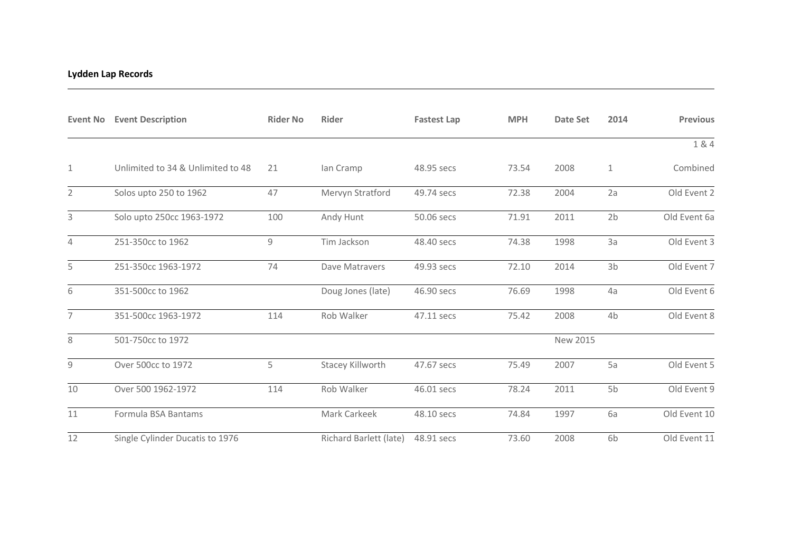## **Lydden Lap Records**

| <b>Event No</b> | <b>Event Description</b>          | <b>Rider No</b> | Rider                  | <b>Fastest Lap</b> | <b>MPH</b> | <b>Date Set</b> | 2014           | <b>Previous</b> |
|-----------------|-----------------------------------|-----------------|------------------------|--------------------|------------|-----------------|----------------|-----------------|
|                 |                                   |                 |                        |                    |            |                 |                | 1 & 4           |
| 1               | Unlimited to 34 & Unlimited to 48 | 21              | lan Cramp              | 48.95 secs         | 73.54      | 2008            | $\mathbf{1}$   | Combined        |
| $\overline{2}$  | Solos upto 250 to 1962            | 47              | Mervyn Stratford       | 49.74 secs         | 72.38      | 2004            | 2a             | Old Event 2     |
| 3               | Solo upto 250cc 1963-1972         | 100             | Andy Hunt              | 50.06 secs         | 71.91      | 2011            | 2 <sub>b</sub> | Old Event 6a    |
| 4               | 251-350cc to 1962                 | 9               | Tim Jackson            | 48.40 secs         | 74.38      | 1998            | 3a             | Old Event 3     |
| 5               | 251-350cc 1963-1972               | 74              | Dave Matravers         | 49.93 secs         | 72.10      | 2014            | 3 <sub>b</sub> | Old Event 7     |
| 6               | 351-500cc to 1962                 |                 | Doug Jones (late)      | 46.90 secs         | 76.69      | 1998            | 4a             | Old Event 6     |
| $\overline{7}$  | 351-500cc 1963-1972               | 114             | Rob Walker             | 47.11 secs         | 75.42      | 2008            | 4b             | Old Event 8     |
| 8               | 501-750cc to 1972                 |                 |                        |                    |            | New 2015        |                |                 |
| 9               | Over 500cc to 1972                | 5               | Stacey Killworth       | 47.67 secs         | 75.49      | 2007            | 5a             | Old Event 5     |
| 10              | Over 500 1962-1972                | 114             | Rob Walker             | 46.01 secs         | 78.24      | 2011            | 5b             | Old Event 9     |
| 11              | Formula BSA Bantams               |                 | Mark Carkeek           | 48.10 secs         | 74.84      | 1997            | 6a             | Old Event 10    |
| 12              | Single Cylinder Ducatis to 1976   |                 | Richard Barlett (late) | 48.91 secs         | 73.60      | 2008            | 6b             | Old Event 11    |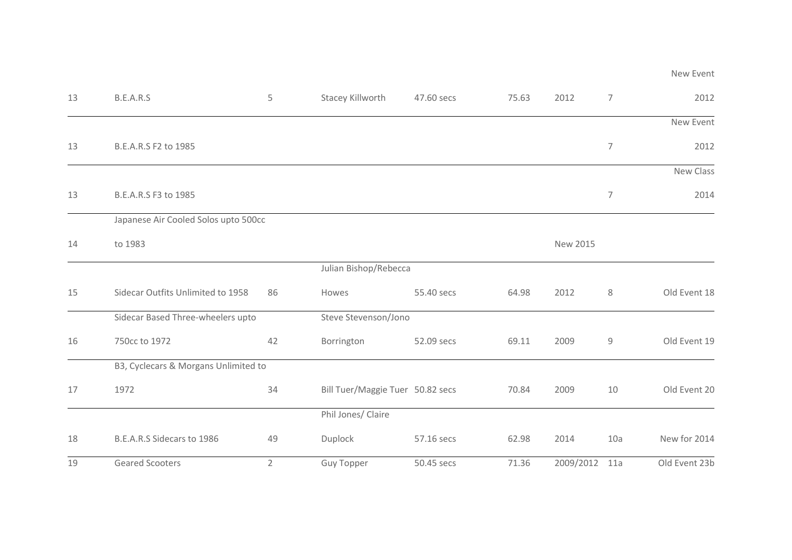| 13 | B.E.A.R.S                            | 5              | Stacey Killworth                 | 47.60 secs           | 75.63 | 2012          | 7              | 2012          |
|----|--------------------------------------|----------------|----------------------------------|----------------------|-------|---------------|----------------|---------------|
|    |                                      |                |                                  |                      |       |               |                | New Event     |
| 13 | B.E.A.R.S F2 to 1985                 |                |                                  |                      |       |               | $\overline{7}$ | 2012          |
|    |                                      |                |                                  |                      |       |               |                | New Class     |
| 13 | B.E.A.R.S F3 to 1985                 |                |                                  |                      |       |               | 7              | 2014          |
|    | Japanese Air Cooled Solos upto 500cc |                |                                  |                      |       |               |                |               |
| 14 | to 1983                              |                |                                  |                      |       | New 2015      |                |               |
|    |                                      |                | Julian Bishop/Rebecca            |                      |       |               |                |               |
| 15 | Sidecar Outfits Unlimited to 1958    | 86             | Howes                            | 55.40 secs           | 64.98 | 2012          | 8              | Old Event 18  |
|    | Sidecar Based Three-wheelers upto    |                |                                  | Steve Stevenson/Jono |       |               |                |               |
| 16 | 750cc to 1972                        | 42             | Borrington                       | 52.09 secs           | 69.11 | 2009          | 9              | Old Event 19  |
|    | B3, Cyclecars & Morgans Unlimited to |                |                                  |                      |       |               |                |               |
| 17 | 1972                                 | 34             | Bill Tuer/Maggie Tuer 50.82 secs |                      | 70.84 | 2009          | 10             | Old Event 20  |
|    |                                      |                | Phil Jones/ Claire               |                      |       |               |                |               |
| 18 | B.E.A.R.S Sidecars to 1986           | 49             | Duplock                          | 57.16 secs           | 62.98 | 2014          | 10a            | New for 2014  |
| 19 | <b>Geared Scooters</b>               | $\overline{2}$ | <b>Guy Topper</b>                | 50.45 secs           | 71.36 | 2009/2012 11a |                | Old Event 23b |

New Event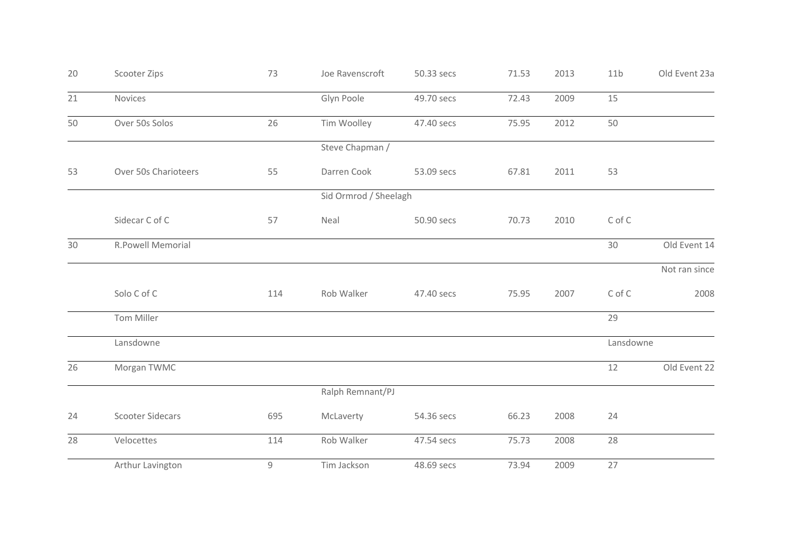| 20 | Scooter Zips            | 73  | Joe Ravenscroft       | 50.33 secs | 71.53 | 2013 | 11 <sub>b</sub> | Old Event 23a |
|----|-------------------------|-----|-----------------------|------------|-------|------|-----------------|---------------|
| 21 | Novices                 |     | Glyn Poole            | 49.70 secs | 72.43 | 2009 | 15              |               |
| 50 | Over 50s Solos          | 26  | Tim Woolley           | 47.40 secs | 75.95 | 2012 | 50              |               |
|    |                         |     | Steve Chapman /       |            |       |      |                 |               |
| 53 | Over 50s Charioteers    | 55  | Darren Cook           | 53.09 secs | 67.81 | 2011 | 53              |               |
|    |                         |     | Sid Ormrod / Sheelagh |            |       |      |                 |               |
|    | Sidecar C of C          | 57  | Neal                  | 50.90 secs | 70.73 | 2010 | C of C          |               |
| 30 | R.Powell Memorial       |     |                       |            |       |      | 30              | Old Event 14  |
|    |                         |     |                       |            |       |      |                 | Not ran since |
|    | Solo C of C             | 114 | Rob Walker            | 47.40 secs | 75.95 | 2007 | C of C          | 2008          |
|    | Tom Miller              |     |                       |            |       |      | 29              |               |
|    | Lansdowne               |     |                       |            |       |      | Lansdowne       |               |
| 26 | Morgan TWMC             |     |                       |            |       |      | 12              | Old Event 22  |
|    |                         |     | Ralph Remnant/PJ      |            |       |      |                 |               |
| 24 | <b>Scooter Sidecars</b> | 695 | McLaverty             | 54.36 secs | 66.23 | 2008 | 24              |               |
| 28 | Velocettes              | 114 | Rob Walker            | 47.54 secs | 75.73 | 2008 | 28              |               |
|    | Arthur Lavington        | 9   | Tim Jackson           | 48.69 secs | 73.94 | 2009 | 27              |               |